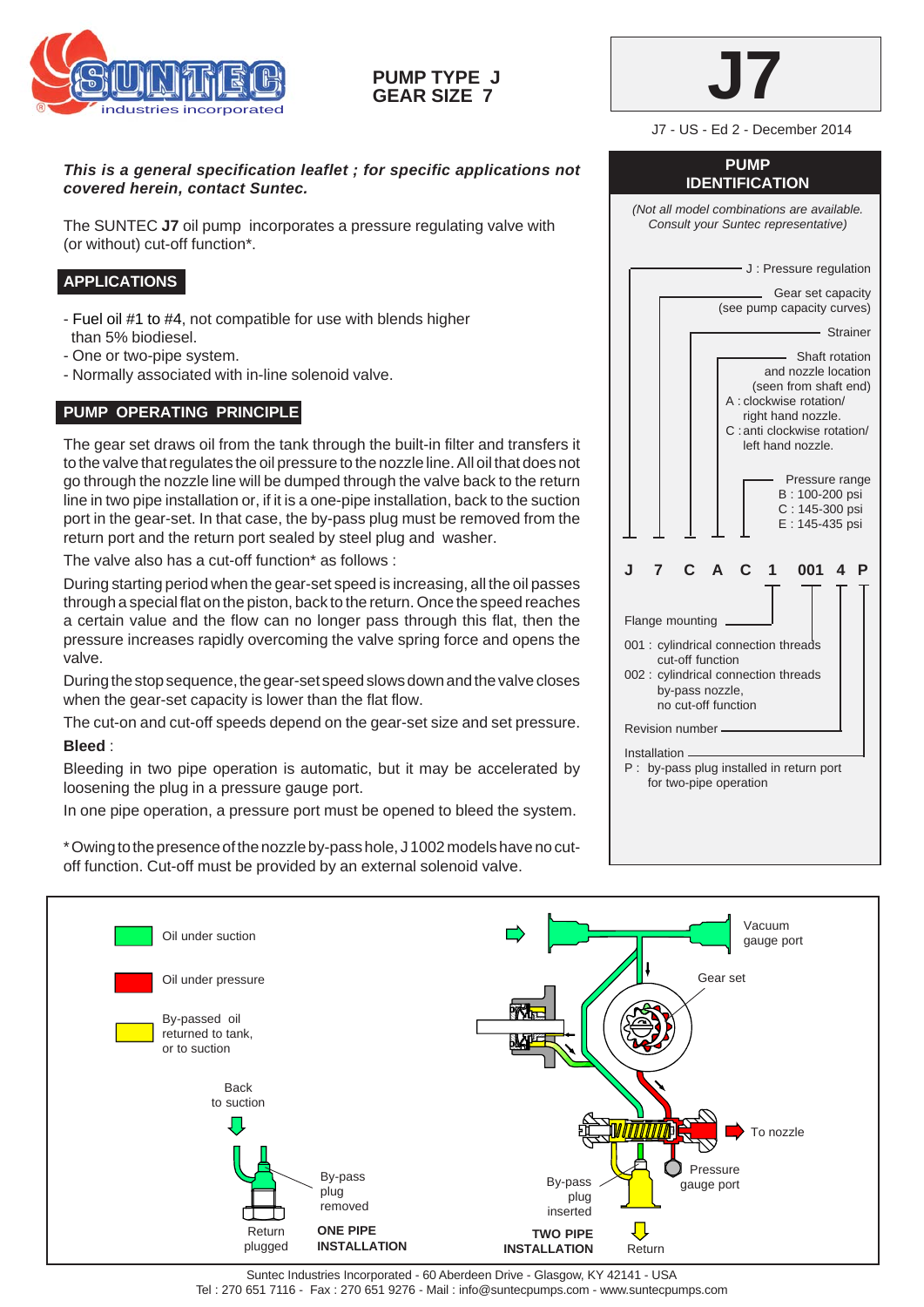

# **PUMP TYPE J GEAR SIZE 7**



J7 - US - Ed 2 - December 2014

## *This is a general specification leaflet ; for specific applications not covered herein, contact Suntec.*

The SUNTEC **J7** oil pump incorporates a pressure regulating valve with (or without) cut-off function\*.

# **APPLICATIONS**

- Fuel oil #1 to #4, not compatible for use with blends higher than 5% biodiesel.
- One or two-pipe system.
- Normally associated with in-line solenoid valve.

# **PUMP OPERATING PRINCIPLE**

The gear set draws oil from the tank through the built-in filter and transfers it to the valve that regulates the oil pressure to the nozzle line. All oil that does not go through the nozzle line will be dumped through the valve back to the return line in two pipe installation or, if it is a one-pipe installation, back to the suction port in the gear-set. In that case, the by-pass plug must be removed from the return port and the return port sealed by steel plug and washer.

The valve also has a cut-off function\* as follows :

During starting period when the gear-set speed is increasing, all the oil passes through a special flat on the piston, back to the return. Once the speed reaches a certain value and the flow can no longer pass through this flat, then the pressure increases rapidly overcoming the valve spring force and opens the valve.

During the stop sequence, the gear-set speed slows down and the valve closes when the gear-set capacity is lower than the flat flow.

The cut-on and cut-off speeds depend on the gear-set size and set pressure.

### **Bleed** :

Bleeding in two pipe operation is automatic, but it may be accelerated by loosening the plug in a pressure gauge port.

In one pipe operation, a pressure port must be opened to bleed the system.

\* Owing to the presence of the nozzle by-pass hole, J 1002 models have no cutoff function. Cut-off must be provided by an external solenoid valve.

#### **PUMP IDENTIFICATION**

*(Not all model combinations are available. Consult your Suntec representative)*

- J: Pressure regulation Gear set capacity (see pump capacity curves) Strainer Shaft rotation and nozzle location (seen from shaft end) A : clockwise rotation/ right hand nozzle. C :anti clockwise rotation/ left hand nozzle. Pressure range B : 100-200 psi C : 145-300 psi E : 145-435 psi **J 7 C A C 1 001 4 P** Flange mounting 001 : cylindrical connection threads cut-off function 002 : cylindrical connection threads by-pass nozzle, no cut-off function Revision number Installation. P : by-pass plug installed in return port for two-pipe operation



Suntec Industries Incorporated - 60 Aberdeen Drive - Glasgow, KY 42141 - USA Tel : 270 651 7116 - Fax : 270 651 9276 - Mail : info@suntecpumps.com - www.suntecpumps.com